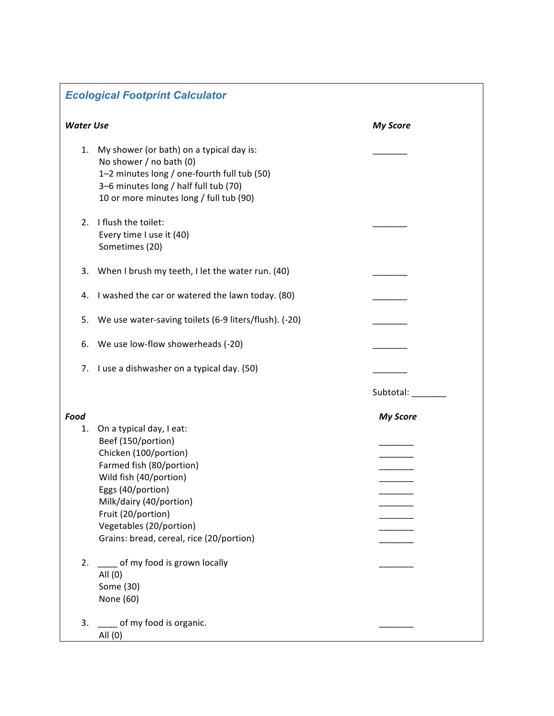## *Ecological Footprint Calculator*

| <b>Water Use</b> |                                                                                                                                                                                                        | <b>My Score</b> |
|------------------|--------------------------------------------------------------------------------------------------------------------------------------------------------------------------------------------------------|-----------------|
| 1.               | My shower (or bath) on a typical day is:<br>No shower / no bath (0)<br>1-2 minutes long / one-fourth full tub (50)<br>3-6 minutes long / half full tub (70)<br>10 or more minutes long / full tub (90) |                 |
| 2.               | I flush the toilet:<br>Every time I use it (40)<br>Sometimes (20)                                                                                                                                      |                 |
| 3.               | When I brush my teeth, I let the water run. (40)                                                                                                                                                       |                 |
| 4.               | I washed the car or watered the lawn today. (80)                                                                                                                                                       |                 |
| 5.               | We use water-saving toilets (6-9 liters/flush). (-20)                                                                                                                                                  |                 |
| 6.               | We use low-flow showerheads (-20)                                                                                                                                                                      |                 |
| 7.               | I use a dishwasher on a typical day. (50)                                                                                                                                                              |                 |
|                  |                                                                                                                                                                                                        | Subtotal:       |
| Food             |                                                                                                                                                                                                        | <b>My Score</b> |
| 1.               | On a typical day, I eat:<br>Beef (150/portion)<br>Chicken (100/portion)                                                                                                                                |                 |
|                  | Farmed fish (80/portion)<br>Wild fish (40/portion)<br>Eggs (40/portion)<br>Milk/dairy (40/portion)<br>Fruit (20/portion)<br>Vegetables (20/portion)<br>Grains: bread, cereal, rice (20/portion)        |                 |
| 2.               | ___ of my food is grown locally<br>All (0)<br>Some (30)<br>None (60)                                                                                                                                   |                 |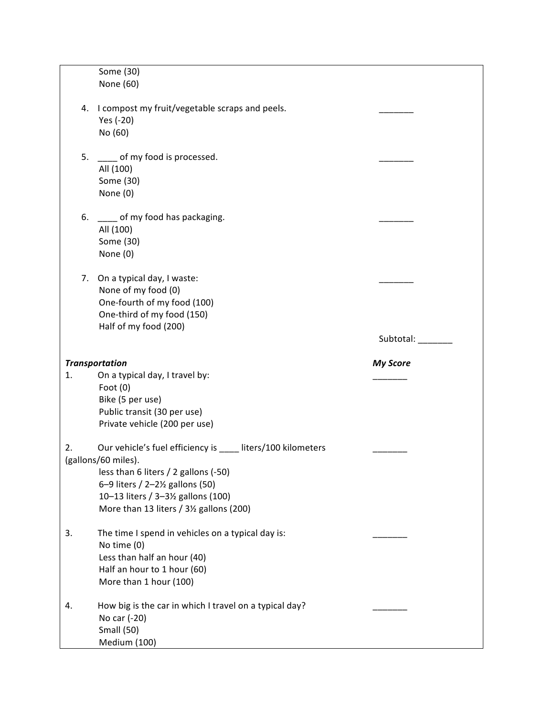|                       | Some (30)<br>None (60)                                                                                                                                                                                                                                                                                                                                                |                 |
|-----------------------|-----------------------------------------------------------------------------------------------------------------------------------------------------------------------------------------------------------------------------------------------------------------------------------------------------------------------------------------------------------------------|-----------------|
|                       |                                                                                                                                                                                                                                                                                                                                                                       |                 |
|                       |                                                                                                                                                                                                                                                                                                                                                                       |                 |
|                       |                                                                                                                                                                                                                                                                                                                                                                       |                 |
|                       | 4. I compost my fruit/vegetable scraps and peels.<br>Yes (-20)                                                                                                                                                                                                                                                                                                        |                 |
|                       |                                                                                                                                                                                                                                                                                                                                                                       |                 |
|                       | No (60)                                                                                                                                                                                                                                                                                                                                                               |                 |
|                       |                                                                                                                                                                                                                                                                                                                                                                       |                 |
| 5.                    | ____ of my food is processed.                                                                                                                                                                                                                                                                                                                                         |                 |
|                       | All (100)                                                                                                                                                                                                                                                                                                                                                             |                 |
|                       | Some (30)                                                                                                                                                                                                                                                                                                                                                             |                 |
|                       | None (0)                                                                                                                                                                                                                                                                                                                                                              |                 |
|                       |                                                                                                                                                                                                                                                                                                                                                                       |                 |
| 6.                    | ____ of my food has packaging.                                                                                                                                                                                                                                                                                                                                        |                 |
|                       | All (100)                                                                                                                                                                                                                                                                                                                                                             |                 |
|                       | Some (30)                                                                                                                                                                                                                                                                                                                                                             |                 |
|                       | None (0)                                                                                                                                                                                                                                                                                                                                                              |                 |
|                       |                                                                                                                                                                                                                                                                                                                                                                       |                 |
|                       | 7. On a typical day, I waste:                                                                                                                                                                                                                                                                                                                                         |                 |
|                       | None of my food (0)                                                                                                                                                                                                                                                                                                                                                   |                 |
|                       | One-fourth of my food (100)                                                                                                                                                                                                                                                                                                                                           |                 |
|                       | One-third of my food (150)                                                                                                                                                                                                                                                                                                                                            |                 |
|                       | Half of my food (200)                                                                                                                                                                                                                                                                                                                                                 |                 |
|                       |                                                                                                                                                                                                                                                                                                                                                                       | Subtotal: _____ |
|                       |                                                                                                                                                                                                                                                                                                                                                                       |                 |
| <b>Transportation</b> |                                                                                                                                                                                                                                                                                                                                                                       | <b>My Score</b> |
| 1.                    | On a typical day, I travel by:                                                                                                                                                                                                                                                                                                                                        |                 |
|                       | Foot $(0)$                                                                                                                                                                                                                                                                                                                                                            |                 |
|                       | Bike (5 per use)                                                                                                                                                                                                                                                                                                                                                      |                 |
|                       | Public transit (30 per use)                                                                                                                                                                                                                                                                                                                                           |                 |
|                       |                                                                                                                                                                                                                                                                                                                                                                       |                 |
|                       | Private vehicle (200 per use)                                                                                                                                                                                                                                                                                                                                         |                 |
|                       |                                                                                                                                                                                                                                                                                                                                                                       |                 |
|                       |                                                                                                                                                                                                                                                                                                                                                                       |                 |
|                       |                                                                                                                                                                                                                                                                                                                                                                       |                 |
|                       |                                                                                                                                                                                                                                                                                                                                                                       |                 |
|                       |                                                                                                                                                                                                                                                                                                                                                                       |                 |
|                       |                                                                                                                                                                                                                                                                                                                                                                       |                 |
|                       |                                                                                                                                                                                                                                                                                                                                                                       |                 |
|                       |                                                                                                                                                                                                                                                                                                                                                                       |                 |
|                       |                                                                                                                                                                                                                                                                                                                                                                       |                 |
|                       |                                                                                                                                                                                                                                                                                                                                                                       |                 |
|                       |                                                                                                                                                                                                                                                                                                                                                                       |                 |
|                       | Half an hour to 1 hour (60)                                                                                                                                                                                                                                                                                                                                           |                 |
|                       | More than 1 hour (100)                                                                                                                                                                                                                                                                                                                                                |                 |
|                       |                                                                                                                                                                                                                                                                                                                                                                       |                 |
| 4.                    | How big is the car in which I travel on a typical day?                                                                                                                                                                                                                                                                                                                |                 |
|                       | No car (-20)                                                                                                                                                                                                                                                                                                                                                          |                 |
|                       | <b>Small (50)</b>                                                                                                                                                                                                                                                                                                                                                     |                 |
|                       |                                                                                                                                                                                                                                                                                                                                                                       |                 |
| 2.<br>3.              | Our vehicle's fuel efficiency is liters/100 kilometers<br>(gallons/60 miles).<br>less than 6 liters / 2 gallons (-50)<br>6-9 liters / 2-21/ <sub>2</sub> gallons (50)<br>10-13 liters / 3-31/ <sub>2</sub> gallons (100)<br>More than 13 liters / 3½ gallons (200)<br>The time I spend in vehicles on a typical day is:<br>No time (0)<br>Less than half an hour (40) |                 |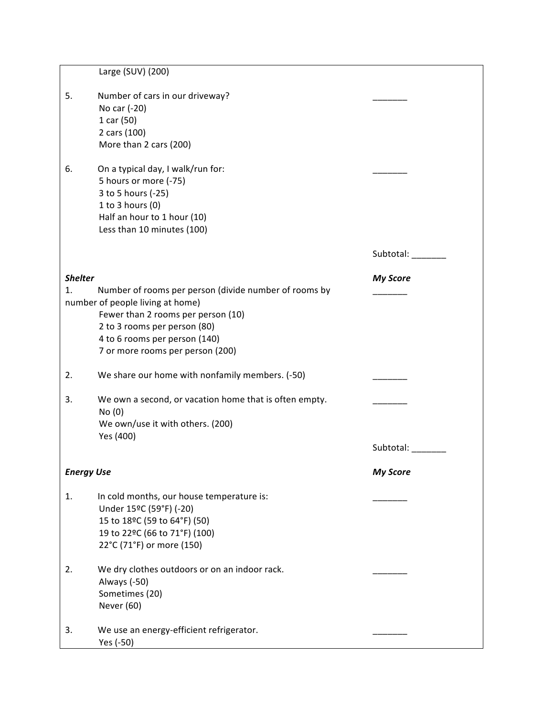|                      | Large (SUV) (200)                                                                         |                 |
|----------------------|-------------------------------------------------------------------------------------------|-----------------|
|                      |                                                                                           |                 |
| 5.                   | Number of cars in our driveway?                                                           |                 |
|                      | No car (-20)                                                                              |                 |
|                      | 1 car (50)                                                                                |                 |
|                      | 2 cars (100)                                                                              |                 |
|                      | More than 2 cars (200)                                                                    |                 |
| 6.                   | On a typical day, I walk/run for:                                                         |                 |
|                      | 5 hours or more (-75)                                                                     |                 |
|                      | 3 to 5 hours (-25)                                                                        |                 |
|                      | 1 to 3 hours (0)                                                                          |                 |
|                      | Half an hour to 1 hour (10)                                                               |                 |
|                      | Less than 10 minutes (100)                                                                |                 |
|                      |                                                                                           | Subtotal:       |
|                      |                                                                                           |                 |
| <b>Shelter</b><br>1. |                                                                                           | <b>My Score</b> |
|                      | Number of rooms per person (divide number of rooms by<br>number of people living at home) |                 |
|                      | Fewer than 2 rooms per person (10)                                                        |                 |
|                      | 2 to 3 rooms per person (80)                                                              |                 |
|                      | 4 to 6 rooms per person (140)                                                             |                 |
|                      | 7 or more rooms per person (200)                                                          |                 |
|                      |                                                                                           |                 |
| 2.                   | We share our home with nonfamily members. (-50)                                           |                 |
| 3.                   | We own a second, or vacation home that is often empty.                                    |                 |
|                      | No(0)                                                                                     |                 |
|                      | We own/use it with others. (200)                                                          |                 |
|                      | Yes (400)                                                                                 |                 |
|                      |                                                                                           | Subtotal: _____ |
| <b>Energy Use</b>    |                                                                                           | <b>My Score</b> |
|                      |                                                                                           |                 |
| 1.                   | In cold months, our house temperature is:                                                 |                 |
|                      | Under 15°C (59°F) (-20)                                                                   |                 |
|                      | 15 to 18°C (59 to 64°F) (50)                                                              |                 |
|                      | 19 to 22°C (66 to 71°F) (100)                                                             |                 |
|                      | 22°C (71°F) or more (150)                                                                 |                 |
| 2.                   | We dry clothes outdoors or on an indoor rack.                                             |                 |
|                      | Always (-50)                                                                              |                 |
|                      | Sometimes (20)                                                                            |                 |
|                      | Never (60)                                                                                |                 |
|                      |                                                                                           |                 |
| 3.                   | We use an energy-efficient refrigerator.                                                  |                 |
|                      | Yes (-50)                                                                                 |                 |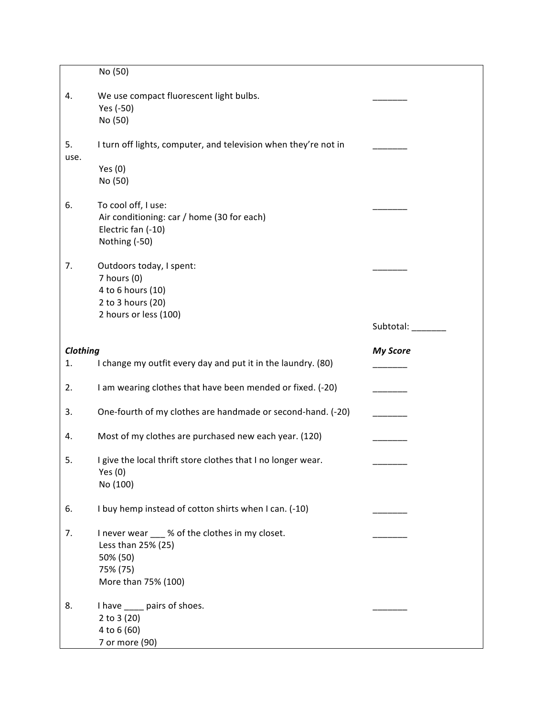|            | No (50)                                                                                                              |                 |
|------------|----------------------------------------------------------------------------------------------------------------------|-----------------|
| 4.         | We use compact fluorescent light bulbs.<br>Yes (-50)<br>No (50)                                                      |                 |
| 5.<br>use. | I turn off lights, computer, and television when they're not in<br>Yes $(0)$<br>No (50)                              |                 |
| 6.         | To cool off, I use:<br>Air conditioning: car / home (30 for each)<br>Electric fan (-10)<br>Nothing (-50)             |                 |
| 7.         | Outdoors today, I spent:<br>7 hours (0)<br>4 to 6 hours (10)<br>2 to 3 hours (20)                                    |                 |
|            | 2 hours or less (100)                                                                                                | Subtotal:       |
| Clothing   |                                                                                                                      | <b>My Score</b> |
| 1.         | I change my outfit every day and put it in the laundry. (80)                                                         |                 |
| 2.         | I am wearing clothes that have been mended or fixed. (-20)                                                           |                 |
| 3.         | One-fourth of my clothes are handmade or second-hand. (-20)                                                          |                 |
| 4.         | Most of my clothes are purchased new each year. (120)                                                                |                 |
| 5.         | I give the local thrift store clothes that I no longer wear.<br>Yes (0)<br>No (100)                                  |                 |
| 6.         | I buy hemp instead of cotton shirts when I can. (-10)                                                                |                 |
| 7.         | I never wear ___ % of the clothes in my closet.<br>Less than 25% (25)<br>50% (50)<br>75% (75)<br>More than 75% (100) |                 |
| 8.         | I have _____ pairs of shoes.<br>2 to $3(20)$<br>4 to 6 (60)                                                          |                 |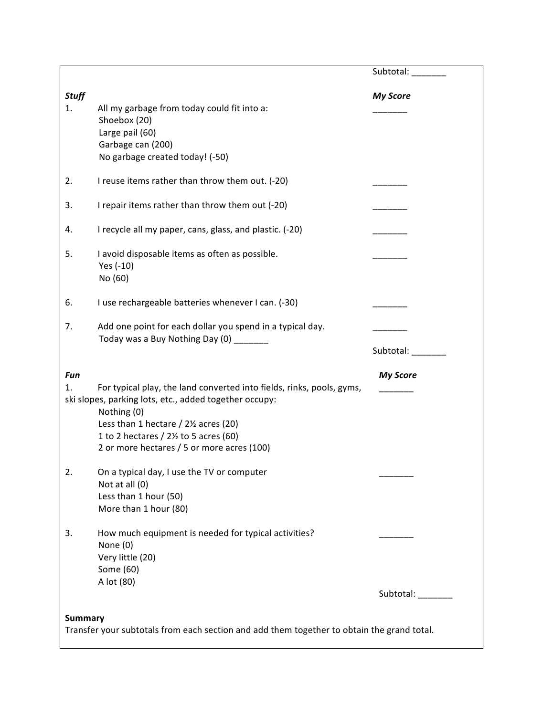|                    |                                                                                                                                                                                                                                                                                                        | Subtotal: _______  |
|--------------------|--------------------------------------------------------------------------------------------------------------------------------------------------------------------------------------------------------------------------------------------------------------------------------------------------------|--------------------|
| <b>Stuff</b><br>1. | All my garbage from today could fit into a:<br>Shoebox (20)<br>Large pail (60)<br>Garbage can (200)<br>No garbage created today! (-50)                                                                                                                                                                 | <b>My Score</b>    |
| 2.                 | I reuse items rather than throw them out. (-20)                                                                                                                                                                                                                                                        |                    |
| 3.                 | I repair items rather than throw them out (-20)                                                                                                                                                                                                                                                        |                    |
| 4.                 | I recycle all my paper, cans, glass, and plastic. (-20)                                                                                                                                                                                                                                                |                    |
| 5.                 | I avoid disposable items as often as possible.<br>Yes (-10)<br>No (60)                                                                                                                                                                                                                                 |                    |
| 6.                 | I use rechargeable batteries whenever I can. (-30)                                                                                                                                                                                                                                                     |                    |
| 7.                 | Add one point for each dollar you spend in a typical day.<br>Today was a Buy Nothing Day (0) _______                                                                                                                                                                                                   | Subtotal:          |
| Fun<br>1.          | For typical play, the land converted into fields, rinks, pools, gyms,<br>ski slopes, parking lots, etc., added together occupy:<br>Nothing (0)<br>Less than 1 hectare $/$ 2 $\frac{1}{2}$ acres (20)<br>1 to 2 hectares / $2\frac{1}{2}$ to 5 acres (60)<br>2 or more hectares / 5 or more acres (100) | <b>My Score</b>    |
| 2.                 | On a typical day, I use the TV or computer<br>Not at all (0)<br>Less than 1 hour (50)<br>More than 1 hour (80)                                                                                                                                                                                         |                    |
| 3.                 | How much equipment is needed for typical activities?<br>None (0)<br>Very little (20)<br>Some (60)<br>A lot (80)                                                                                                                                                                                        | Subtotal: ________ |
|                    |                                                                                                                                                                                                                                                                                                        |                    |
| <b>Summary</b>     | Transfer your subtotals from each section and add them together to obtain the grand total.                                                                                                                                                                                                             |                    |

L